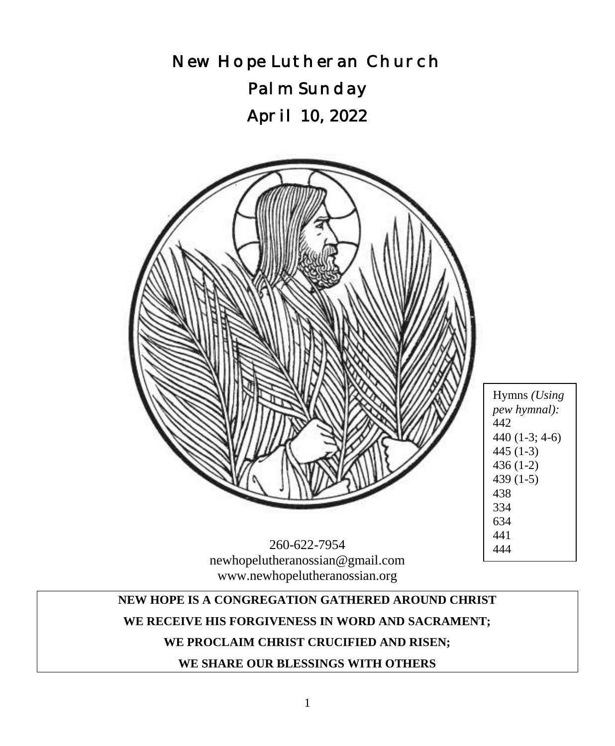

# www.newhopelutheranossian.org

### **NEW HOPE IS A CONGREGATION GATHERED AROUND CHRIST**

#### **WE RECEIVE HIS FORGIVENESS IN WORD AND SACRAMENT;**

### **WE PROCLAIM CHRIST CRUCIFIED AND RISEN;**

# **WE SHARE OUR BLESSINGS WITH OTHERS**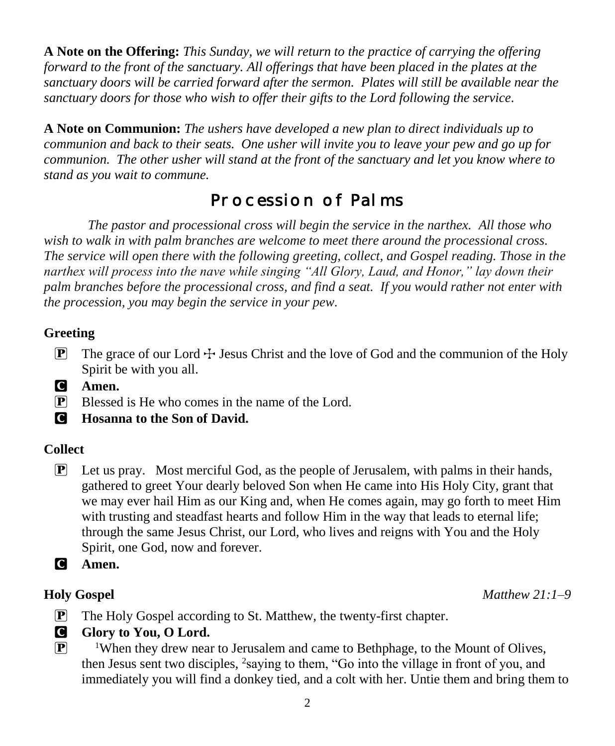**A Note on the Offering:** *This Sunday, we will return to the practice of carrying the offering forward to the front of the sanctuary. All offerings that have been placed in the plates at the sanctuary doors will be carried forward after the sermon. Plates will still be available near the sanctuary doors for those who wish to offer their gifts to the Lord following the service.*

**A Note on Communion:** *The ushers have developed a new plan to direct individuals up to communion and back to their seats. One usher will invite you to leave your pew and go up for communion. The other usher will stand at the front of the sanctuary and let you know where to stand as you wait to commune.* 

# Procession of Palms

*The pastor and processional cross will begin the service in the narthex. All those who wish to walk in with palm branches are welcome to meet there around the processional cross. The service will open there with the following greeting, collect, and Gospel reading. Those in the narthex will process into the nave while singing "All Glory, Laud, and Honor," lay down their palm branches before the processional cross, and find a seat. If you would rather not enter with the procession, you may begin the service in your pew.*

### **Greeting**

- **P** The grace of our Lord  $\div$  Jesus Christ and the love of God and the communion of the Holy Spirit be with you all.
- C **Amen.**
- P Blessed is He who comes in the name of the Lord.
- C **Hosanna to the Son of David.**

# **Collect**

- $\mathbf{P}$  Let us pray. Most merciful God, as the people of Jerusalem, with palms in their hands, gathered to greet Your dearly beloved Son when He came into His Holy City, grant that we may ever hail Him as our King and, when He comes again, may go forth to meet Him with trusting and steadfast hearts and follow Him in the way that leads to eternal life; through the same Jesus Christ, our Lord, who lives and reigns with You and the Holy Spirit, one God, now and forever.
- C **Amen.**

#### **Holy Gospel** *Matthew 21:1–9*

- P The Holy Gospel according to St. Matthew, the twenty-first chapter.
- **G** Glory to You, O Lord.
- $\mathbb{P}$  <sup>1</sup>When they drew near to Jerusalem and came to Bethphage, to the Mount of Olives, then Jesus sent two disciples, <sup>2</sup>saying to them, "Go into the village in front of you, and immediately you will find a donkey tied, and a colt with her. Untie them and bring them to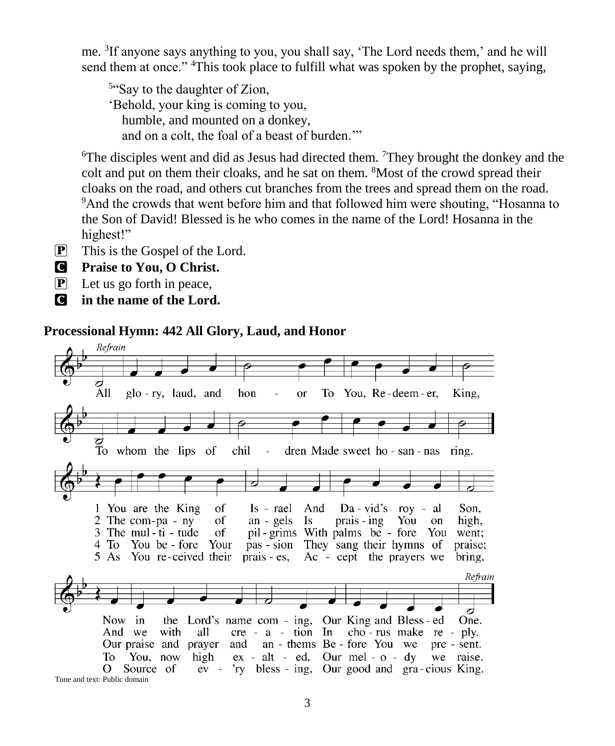me. <sup>3</sup> If anyone says anything to you, you shall say, 'The Lord needs them,' and he will send them at once." <sup>4</sup>This took place to fulfill what was spoken by the prophet, saying,

<sup>5"</sup>Say to the daughter of Zion, 'Behold, your king is coming to you, humble, and mounted on a donkey, and on a colt, the foal of a beast of burden.'"

<sup>6</sup>The disciples went and did as Jesus had directed them. <sup>7</sup>They brought the donkey and the colt and put on them their cloaks, and he sat on them. <sup>8</sup>Most of the crowd spread their cloaks on the road, and others cut branches from the trees and spread them on the road. <sup>9</sup>And the crowds that went before him and that followed him were shouting, "Hosanna to the Son of David! Blessed is he who comes in the name of the Lord! Hosanna in the highest!"

P This is the Gospel of the Lord.

C **Praise to You, O Christ.**

- $\boxed{\mathbf{P}}$  Let us go forth in peace,
- C **in the name of the Lord.**

#### **Processional Hymn: 442 All Glory, Laud, and Honor**

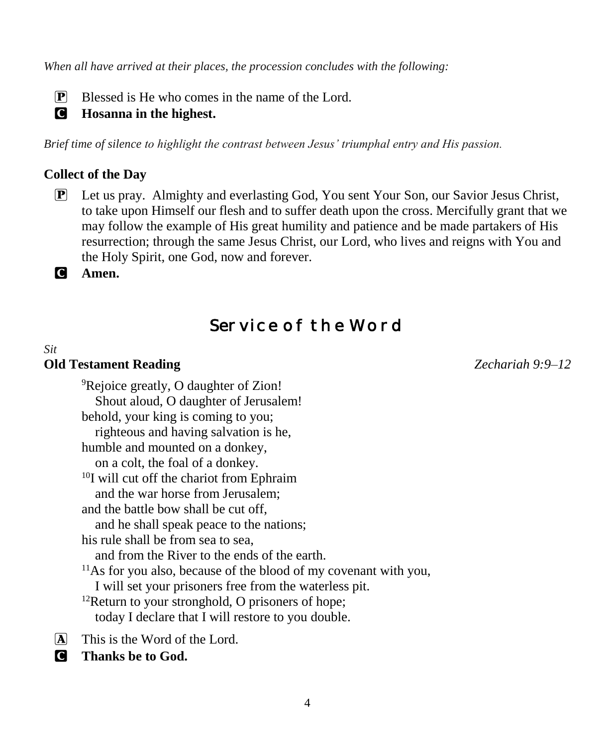*When all have arrived at their places, the procession concludes with the following:*

P Blessed is He who comes in the name of the Lord.

#### C **Hosanna in the highest.**

*Brief time of silence to highlight the contrast between Jesus' triumphal entry and His passion.*

#### **Collect of the Day**

P Let us pray. Almighty and everlasting God, You sent Your Son, our Savior Jesus Christ, to take upon Himself our flesh and to suffer death upon the cross. Mercifully grant that we may follow the example of His great humility and patience and be made partakers of His resurrection; through the same Jesus Christ, our Lord, who lives and reigns with You and the Holy Spirit, one God, now and forever.

C **Amen.**

# Service of the Word

#### *Sit* **Old Testament Reading** *Zechariah 9:9–12*

<sup>9</sup>Rejoice greatly, O daughter of Zion! Shout aloud, O daughter of Jerusalem! behold, your king is coming to you; righteous and having salvation is he, humble and mounted on a donkey, on a colt, the foal of a donkey. <sup>10</sup>I will cut off the chariot from Ephraim and the war horse from Jerusalem; and the battle bow shall be cut off, and he shall speak peace to the nations; his rule shall be from sea to sea, and from the River to the ends of the earth.  $11$ As for you also, because of the blood of my covenant with you, I will set your prisoners free from the waterless pit. <sup>12</sup>Return to your stronghold, O prisoners of hope; today I declare that I will restore to you double.

- $\overline{A}$  This is the Word of the Lord.
- C **Thanks be to God.**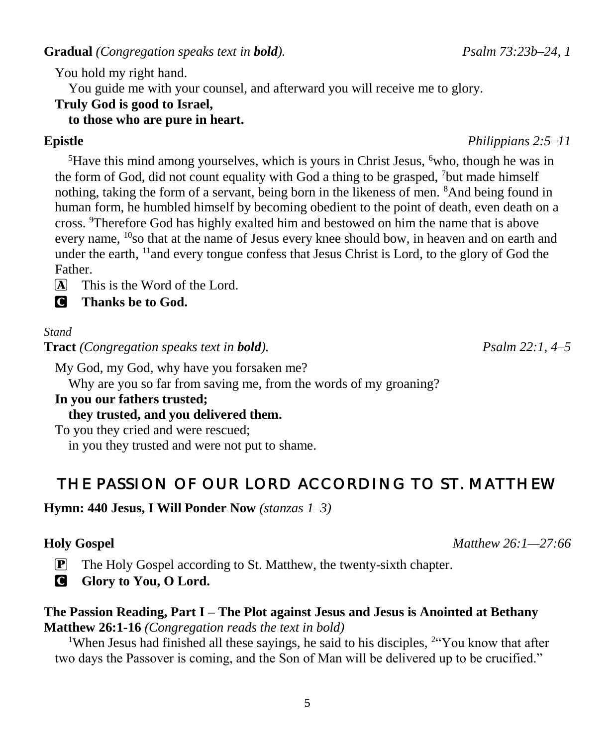**Gradual** *(Congregation speaks text in bold). Psalm 73:23b–24, 1*

You hold my right hand.

You guide me with your counsel, and afterward you will receive me to glory.

# **Truly God is good to Israel,**

# **to those who are pure in heart.**

<sup>5</sup>Have this mind among yourselves, which is yours in Christ Jesus, <sup>6</sup>who, though he was in the form of God, did not count equality with God a thing to be grasped, <sup>7</sup>but made himself nothing, taking the form of a servant, being born in the likeness of men. <sup>8</sup>And being found in human form, he humbled himself by becoming obedient to the point of death, even death on a cross. <sup>9</sup>Therefore God has highly exalted him and bestowed on him the name that is above every name, <sup>10</sup>so that at the name of Jesus every knee should bow, in heaven and on earth and under the earth, <sup>11</sup> and every tongue confess that Jesus Christ is Lord, to the glory of God the Father.

 $\overline{A}$  This is the Word of the Lord.

C **Thanks be to God.**

#### *Stand*

**Tract** *(Congregation speaks text in bold). Psalm 22:1, 4–5*

My God, my God, why have you forsaken me?

Why are you so far from saving me, from the words of my groaning?

#### **In you our fathers trusted;**

#### **they trusted, and you delivered them.**

To you they cried and were rescued;

in you they trusted and were not put to shame.

# THE PASSION OF OUR LORD ACCORDING TO ST. MATTHEW

#### **Hymn: 440 Jesus, I Will Ponder Now** *(stanzas 1–3)*

### **Holy Gospel** *Matthew 26:1—27:66*

- P The Holy Gospel according to St. Matthew, the twenty-sixth chapter.
- **G** Glory to You, O Lord.

#### **The Passion Reading, Part I – The Plot against Jesus and Jesus is Anointed at Bethany Matthew 26:1-16** *(Congregation reads the text in bold)*

<sup>1</sup>When Jesus had finished all these sayings, he said to his disciples,  $24$  You know that after two days the Passover is coming, and the Son of Man will be delivered up to be crucified."

#### **Epistle** *Philippians 2:5–11*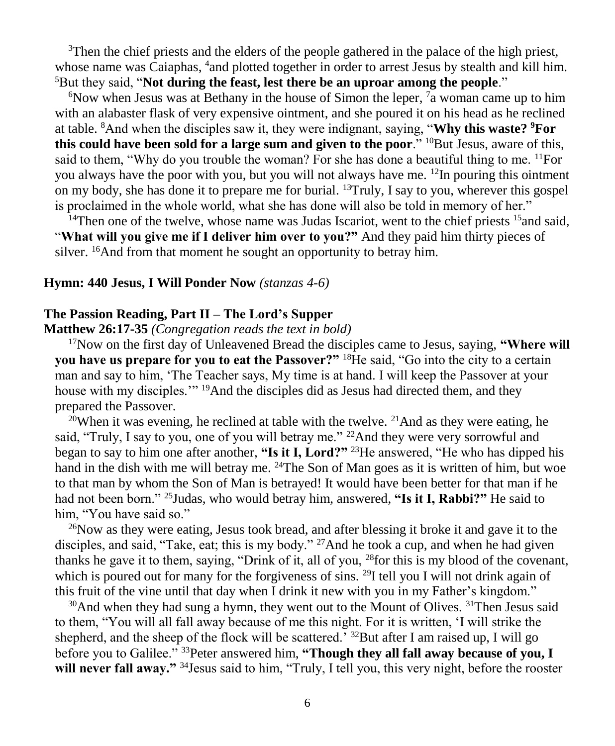$3$ Then the chief priests and the elders of the people gathered in the palace of the high priest, whose name was Caiaphas, <sup>4</sup> and plotted together in order to arrest Jesus by stealth and kill him. <sup>5</sup>But they said, "**Not during the feast, lest there be an uproar among the people."** 

 $6$ Now when Jesus was at Bethany in the house of Simon the leper,  $7a$  woman came up to him with an alabaster flask of very expensive ointment, and she poured it on his head as he reclined at table. <sup>8</sup>And when the disciples saw it, they were indignant, saying, "**Why this waste? <sup>9</sup>For this could have been sold for a large sum and given to the poor." <sup>10</sup>But Jesus, aware of this,** said to them, "Why do you trouble the woman? For she has done a beautiful thing to me.  $^{11}$ For you always have the poor with you, but you will not always have me.  $^{12}$ In pouring this ointment on my body, she has done it to prepare me for burial. <sup>13</sup>Truly, I say to you, wherever this gospel is proclaimed in the whole world, what she has done will also be told in memory of her."

<sup>14</sup>Then one of the twelve, whose name was Judas Iscariot, went to the chief priests  $15$  and said, "**What will you give me if I deliver him over to you?"** And they paid him thirty pieces of silver. <sup>16</sup>And from that moment he sought an opportunity to betray him.

#### **Hymn: 440 Jesus, I Will Ponder Now** *(stanzas 4-6)*

#### **The Passion Reading, Part II – The Lord's Supper**

#### **Matthew 26:17-35** *(Congregation reads the text in bold)*

<sup>17</sup>Now on the first day of Unleavened Bread the disciples came to Jesus, saying, **"Where will you have us prepare for you to eat the Passover?"** <sup>18</sup>He said, "Go into the city to a certain man and say to him, 'The Teacher says, My time is at hand. I will keep the Passover at your house with my disciples."<sup>19</sup>And the disciples did as Jesus had directed them, and they prepared the Passover.

<sup>20</sup>When it was evening, he reclined at table with the twelve. <sup>21</sup>And as they were eating, he said, "Truly, I say to you, one of you will betray me." <sup>22</sup>And they were very sorrowful and began to say to him one after another, **"Is it I, Lord?"** <sup>23</sup>He answered, "He who has dipped his hand in the dish with me will betray me. <sup>24</sup>The Son of Man goes as it is written of him, but woe to that man by whom the Son of Man is betrayed! It would have been better for that man if he had not been born." <sup>25</sup>Judas, who would betray him, answered, **"Is it I, Rabbi?"** He said to him, "You have said so."

<sup>26</sup>Now as they were eating, Jesus took bread, and after blessing it broke it and gave it to the disciples, and said, "Take, eat; this is my body." <sup>27</sup>And he took a cup, and when he had given thanks he gave it to them, saying, "Drink of it, all of you, <sup>28</sup>for this is my blood of the covenant, which is poured out for many for the forgiveness of sins. <sup>29</sup>I tell you I will not drink again of this fruit of the vine until that day when I drink it new with you in my Father's kingdom."

 $30$ And when they had sung a hymn, they went out to the Mount of Olives.  $31$ Then Jesus said to them, "You will all fall away because of me this night. For it is written, 'I will strike the shepherd, and the sheep of the flock will be scattered.'  $3^{2}$ But after I am raised up, I will go before you to Galilee." <sup>33</sup>Peter answered him, **"Though they all fall away because of you, I will never fall away."** <sup>34</sup>Jesus said to him, "Truly, I tell you, this very night, before the rooster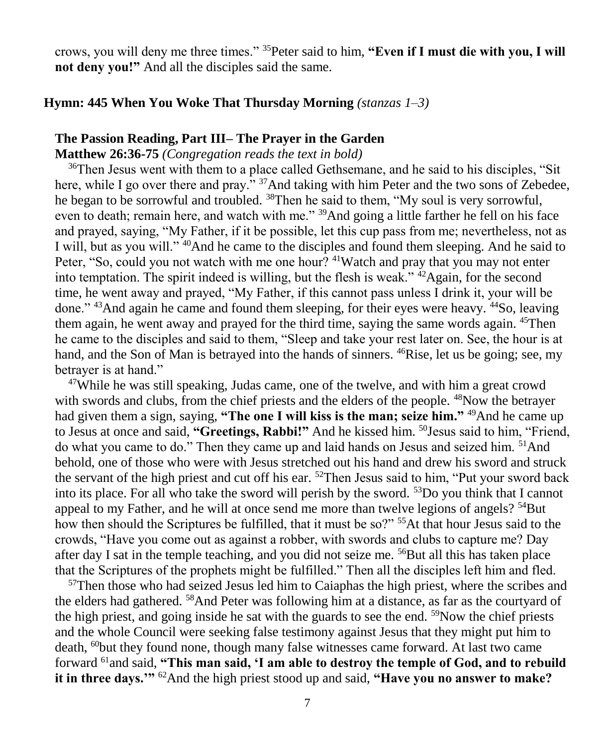crows, you will deny me three times." <sup>35</sup>Peter said to him, **"Even if I must die with you, I will not deny you!"** And all the disciples said the same.

#### **Hymn: 445 When You Woke That Thursday Morning** *(stanzas 1–3)*

#### **The Passion Reading, Part III– The Prayer in the Garden**

**Matthew 26:36-75** *(Congregation reads the text in bold)*

<sup>36</sup>Then Jesus went with them to a place called Gethsemane, and he said to his disciples, "Sit" here, while I go over there and pray." <sup>37</sup>And taking with him Peter and the two sons of Zebedee, he began to be sorrowful and troubled. <sup>38</sup>Then he said to them, "My soul is very sorrowful, even to death; remain here, and watch with me." <sup>39</sup>And going a little farther he fell on his face and prayed, saying, "My Father, if it be possible, let this cup pass from me; nevertheless, not as I will, but as you will." <sup>40</sup>And he came to the disciples and found them sleeping. And he said to Peter, "So, could you not watch with me one hour? <sup>41</sup>Watch and pray that you may not enter into temptation. The spirit indeed is willing, but the flesh is weak." <sup>42</sup>Again, for the second time, he went away and prayed, "My Father, if this cannot pass unless I drink it, your will be done." <sup>43</sup>And again he came and found them sleeping, for their eyes were heavy. <sup>44</sup>So, leaving them again, he went away and prayed for the third time, saying the same words again. <sup>45</sup>Then he came to the disciples and said to them, "Sleep and take your rest later on. See, the hour is at hand, and the Son of Man is betrayed into the hands of sinners. <sup>46</sup>Rise, let us be going; see, my betrayer is at hand."

<sup>47</sup>While he was still speaking, Judas came, one of the twelve, and with him a great crowd with swords and clubs, from the chief priests and the elders of the people. <sup>48</sup>Now the betrayer had given them a sign, saying, "The one I will kiss is the man; seize him."<sup>49</sup>And he came up to Jesus at once and said, "Greetings, Rabbi!" And he kissed him. <sup>50</sup>Jesus said to him, "Friend, do what you came to do." Then they came up and laid hands on Jesus and seized him. <sup>51</sup>And behold, one of those who were with Jesus stretched out his hand and drew his sword and struck the servant of the high priest and cut off his ear. <sup>52</sup>Then Jesus said to him, "Put your sword back into its place. For all who take the sword will perish by the sword.  $53D\sigma$  you think that I cannot appeal to my Father, and he will at once send me more than twelve legions of angels?  $54$ But how then should the Scriptures be fulfilled, that it must be so?" <sup>55</sup>At that hour Jesus said to the crowds, "Have you come out as against a robber, with swords and clubs to capture me? Day after day I sat in the temple teaching, and you did not seize me. <sup>56</sup>But all this has taken place that the Scriptures of the prophets might be fulfilled." Then all the disciples left him and fled.

 $57$ Then those who had seized Jesus led him to Caiaphas the high priest, where the scribes and the elders had gathered. <sup>58</sup>And Peter was following him at a distance, as far as the courtyard of the high priest, and going inside he sat with the guards to see the end.  $59$ Now the chief priests and the whole Council were seeking false testimony against Jesus that they might put him to death, <sup>60</sup>but they found none, though many false witnesses came forward. At last two came forward <sup>61</sup>and said, **"This man said, 'I am able to destroy the temple of God, and to rebuild it in three days.'"** <sup>62</sup>And the high priest stood up and said, **"Have you no answer to make?**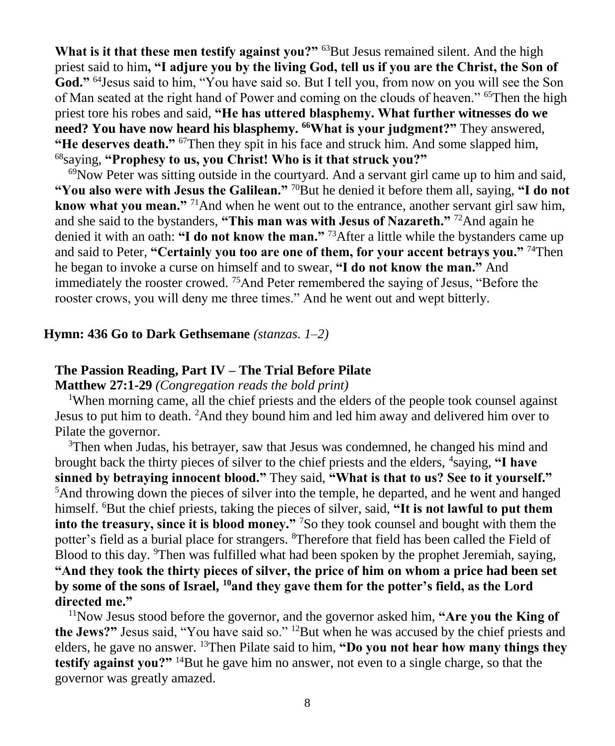**What is it that these men testify against you?"** <sup>63</sup>But Jesus remained silent. And the high priest said to him**, "I adjure you by the living God, tell us if you are the Christ, the Son of**  God."<sup>64</sup> Jesus said to him, "You have said so. But I tell you, from now on you will see the Son of Man seated at the right hand of Power and coming on the clouds of heaven." <sup>65</sup>Then the high priest tore his robes and said, **"He has uttered blasphemy. What further witnesses do we need? You have now heard his blasphemy. <sup>66</sup>What is your judgment?"** They answered, **"He deserves death."** <sup>67</sup>Then they spit in his face and struck him. And some slapped him, <sup>68</sup>saying, **"Prophesy to us, you Christ! Who is it that struck you?"**

 $69$ Now Peter was sitting outside in the courtyard. And a servant girl came up to him and said, **"You also were with Jesus the Galilean."** <sup>70</sup>But he denied it before them all, saying, **"I do not know what you mean.**" <sup>71</sup>And when he went out to the entrance, another servant girl saw him, and she said to the bystanders, **"This man was with Jesus of Nazareth."** <sup>72</sup>And again he denied it with an oath: **"I do not know the man."** <sup>73</sup>After a little while the bystanders came up and said to Peter, **"Certainly you too are one of them, for your accent betrays you."** <sup>74</sup>Then he began to invoke a curse on himself and to swear, **"I do not know the man."** And immediately the rooster crowed.  $75$ And Peter remembered the saying of Jesus, "Before the rooster crows, you will deny me three times." And he went out and wept bitterly.

#### **Hymn: 436 Go to Dark Gethsemane** *(stanzas. 1–2)*

#### **The Passion Reading, Part IV – The Trial Before Pilate**

**Matthew 27:1-29** *(Congregation reads the bold print)*

<sup>1</sup>When morning came, all the chief priests and the elders of the people took counsel against Jesus to put him to death. <sup>2</sup>And they bound him and led him away and delivered him over to Pilate the governor.

<sup>3</sup>Then when Judas, his betrayer, saw that Jesus was condemned, he changed his mind and brought back the thirty pieces of silver to the chief priests and the elders, <sup>4</sup>saying, "I have **sinned by betraying innocent blood."** They said, **"What is that to us? See to it yourself."**  $<sup>5</sup>$ And throwing down the pieces of silver into the temple, he departed, and he went and hanged</sup> himself. <sup>6</sup>But the chief priests, taking the pieces of silver, said, **"It is not lawful to put them into the treasury, since it is blood money."** <sup>7</sup>So they took counsel and bought with them the potter's field as a burial place for strangers. <sup>8</sup>Therefore that field has been called the Field of Blood to this day. <sup>9</sup>Then was fulfilled what had been spoken by the prophet Jeremiah, saying, **"And they took the thirty pieces of silver, the price of him on whom a price had been set by some of the sons of Israel, <sup>10</sup>and they gave them for the potter's field, as the Lord directed me."**

<sup>11</sup>Now Jesus stood before the governor, and the governor asked him, **"Are you the King of the Jews?"** Jesus said, "You have said so." <sup>12</sup>But when he was accused by the chief priests and elders, he gave no answer. <sup>13</sup>Then Pilate said to him, **"Do you not hear how many things they testify against you?"** <sup>14</sup>But he gave him no answer, not even to a single charge, so that the governor was greatly amazed.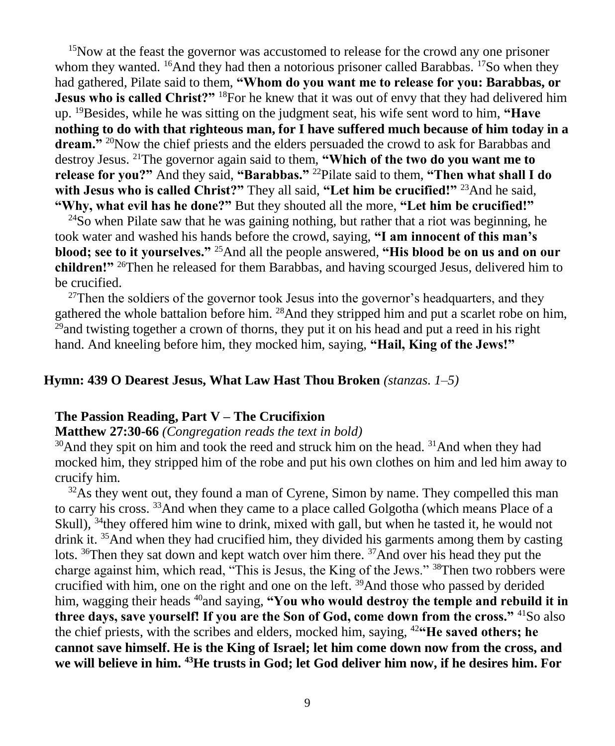<sup>15</sup>Now at the feast the governor was accustomed to release for the crowd any one prisoner whom they wanted. <sup>16</sup>And they had then a notorious prisoner called Barabbas. <sup>17</sup>So when they had gathered, Pilate said to them, **"Whom do you want me to release for you: Barabbas, or Jesus who is called Christ?"** <sup>18</sup>For he knew that it was out of envy that they had delivered him up. <sup>19</sup>Besides, while he was sitting on the judgment seat, his wife sent word to him, **"Have nothing to do with that righteous man, for I have suffered much because of him today in a**  dream."<sup>20</sup>Now the chief priests and the elders persuaded the crowd to ask for Barabbas and destroy Jesus. <sup>21</sup>The governor again said to them, **"Which of the two do you want me to release for you?"** And they said, **"Barabbas."** <sup>22</sup>Pilate said to them, **"Then what shall I do with Jesus who is called Christ?"** They all said, **"Let him be crucified!"** <sup>23</sup>And he said, **"Why, what evil has he done?"** But they shouted all the more, **"Let him be crucified!"**

 $^{24}$ So when Pilate saw that he was gaining nothing, but rather that a riot was beginning, he took water and washed his hands before the crowd, saying, **"I am innocent of this man's blood; see to it yourselves."** <sup>25</sup>And all the people answered, **"His blood be on us and on our children!"** <sup>26</sup>Then he released for them Barabbas, and having scourged Jesus, delivered him to be crucified.

 $27$ Then the soldiers of the governor took Jesus into the governor's headquarters, and they gathered the whole battalion before him. <sup>28</sup>And they stripped him and put a scarlet robe on him,  $^{29}$  and twisting together a crown of thorns, they put it on his head and put a reed in his right hand. And kneeling before him, they mocked him, saying, **"Hail, King of the Jews!"**

#### **Hymn: 439 O Dearest Jesus, What Law Hast Thou Broken** *(stanzas. 1–5)*

#### **The Passion Reading, Part V – The Crucifixion**

#### **Matthew 27:30-66** *(Congregation reads the text in bold)*

<sup>30</sup>And they spit on him and took the reed and struck him on the head. <sup>31</sup>And when they had mocked him, they stripped him of the robe and put his own clothes on him and led him away to crucify him.

 $32\text{As}$  they went out, they found a man of Cyrene, Simon by name. They compelled this man to carry his cross. <sup>33</sup>And when they came to a place called Golgotha (which means Place of a Skull), <sup>34</sup>they offered him wine to drink, mixed with gall, but when he tasted it, he would not drink it.  $35$ And when they had crucified him, they divided his garments among them by casting lots. <sup>36</sup>Then they sat down and kept watch over him there. <sup>37</sup>And over his head they put the charge against him, which read, "This is Jesus, the King of the Jews." <sup>38</sup>Then two robbers were crucified with him, one on the right and one on the left. <sup>39</sup>And those who passed by derided him, wagging their heads <sup>40</sup>and saying, "You who would destroy the temple and rebuild it in **three days, save yourself! If you are the Son of God, come down from the cross."** <sup>41</sup>So also the chief priests, with the scribes and elders, mocked him, saying, <sup>42</sup>**"He saved others; he cannot save himself. He is the King of Israel; let him come down now from the cross, and we will believe in him. 43He trusts in God; let God deliver him now, if he desires him. For**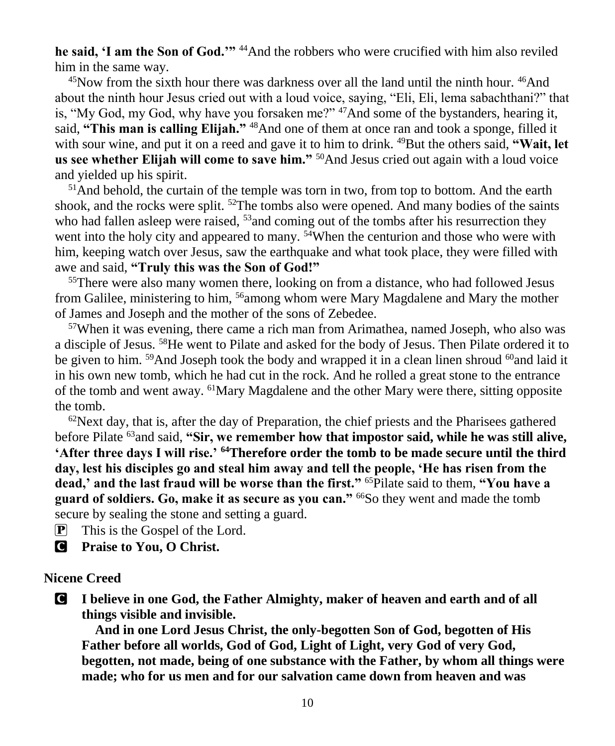**he said, 'I am the Son of God.'"** <sup>44</sup>And the robbers who were crucified with him also reviled him in the same way.

<sup>45</sup>Now from the sixth hour there was darkness over all the land until the ninth hour. <sup>46</sup>And about the ninth hour Jesus cried out with a loud voice, saying, "Eli, Eli, lema sabachthani?" that is, "My God, my God, why have you forsaken me?"  $47$ And some of the bystanders, hearing it, said, **"This man is calling Elijah."** <sup>48</sup>And one of them at once ran and took a sponge, filled it with sour wine, and put it on a reed and gave it to him to drink. <sup>49</sup>But the others said, **"Wait, let** us see whether Elijah will come to save him."<sup>50</sup>And Jesus cried out again with a loud voice and yielded up his spirit.

 $<sup>51</sup>$ And behold, the curtain of the temple was torn in two, from top to bottom. And the earth</sup> shook, and the rocks were split.  $52$ The tombs also were opened. And many bodies of the saints who had fallen asleep were raised, <sup>53</sup>and coming out of the tombs after his resurrection they went into the holy city and appeared to many. <sup>54</sup>When the centurion and those who were with him, keeping watch over Jesus, saw the earthquake and what took place, they were filled with awe and said, **"Truly this was the Son of God!"**

<sup>55</sup>There were also many women there, looking on from a distance, who had followed Jesus from Galilee, ministering to him, <sup>56</sup>among whom were Mary Magdalene and Mary the mother of James and Joseph and the mother of the sons of Zebedee.

<sup>57</sup>When it was evening, there came a rich man from Arimathea, named Joseph, who also was a disciple of Jesus. <sup>58</sup>He went to Pilate and asked for the body of Jesus. Then Pilate ordered it to be given to him. <sup>59</sup>And Joseph took the body and wrapped it in a clean linen shroud <sup>60</sup>and laid it in his own new tomb, which he had cut in the rock. And he rolled a great stone to the entrance of the tomb and went away. <sup>61</sup>Mary Magdalene and the other Mary were there, sitting opposite the tomb.

 $62$ Next day, that is, after the day of Preparation, the chief priests and the Pharisees gathered before Pilate <sup>63</sup>and said, **"Sir, we remember how that impostor said, while he was still alive, 'After three days I will rise.' <sup>64</sup>Therefore order the tomb to be made secure until the third day, lest his disciples go and steal him away and tell the people, 'He has risen from the dead,' and the last fraud will be worse than the first."** <sup>65</sup>Pilate said to them, **"You have a guard of soldiers. Go, make it as secure as you can."** <sup>66</sup>So they went and made the tomb secure by sealing the stone and setting a guard.

P This is the Gospel of the Lord.

C **Praise to You, O Christ.**

#### **Nicene Creed**

C **I believe in one God, the Father Almighty, maker of heaven and earth and of all things visible and invisible.**

**And in one Lord Jesus Christ, the only-begotten Son of God, begotten of His Father before all worlds, God of God, Light of Light, very God of very God, begotten, not made, being of one substance with the Father, by whom all things were made; who for us men and for our salvation came down from heaven and was**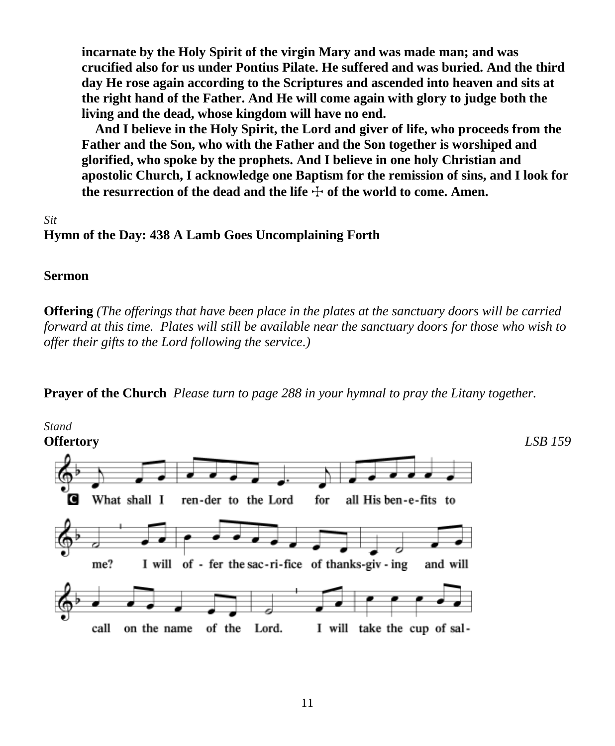**incarnate by the Holy Spirit of the virgin Mary and was made man; and was crucified also for us under Pontius Pilate. He suffered and was buried. And the third day He rose again according to the Scriptures and ascended into heaven and sits at the right hand of the Father. And He will come again with glory to judge both the living and the dead, whose kingdom will have no end.**

**And I believe in the Holy Spirit, the Lord and giver of life, who proceeds from the Father and the Son, who with the Father and the Son together is worshiped and glorified, who spoke by the prophets. And I believe in one holy Christian and apostolic Church, I acknowledge one Baptism for the remission of sins, and I look for**  the resurrection of the dead and the life  $\pm$  of the world to come. Amen.

#### *Sit* **Hymn of the Day: 438 A Lamb Goes Uncomplaining Forth**

#### **Sermon**

**Offering** *(The offerings that have been place in the plates at the sanctuary doors will be carried forward at this time. Plates will still be available near the sanctuary doors for those who wish to offer their gifts to the Lord following the service.)*

**Prayer of the Church** *Please turn to page 288 in your hymnal to pray the Litany together.*

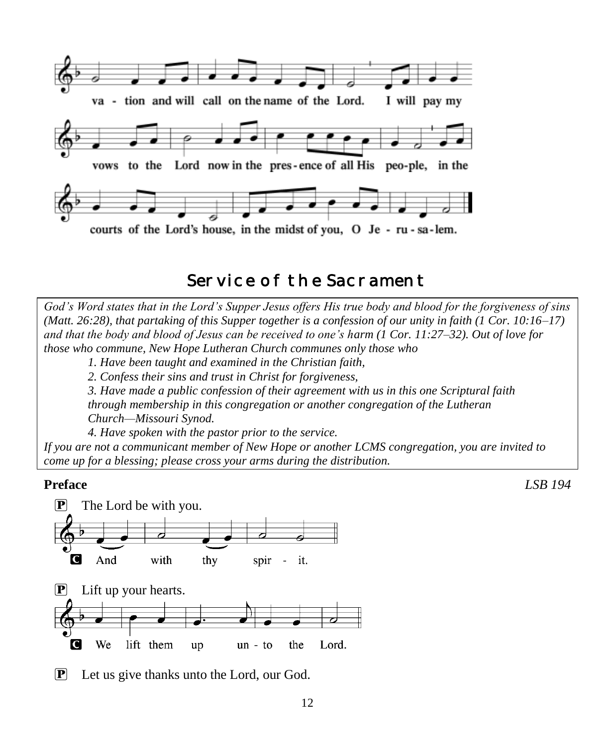

# Service of the Sacrament

*God's Word states that in the Lord's Supper Jesus offers His true body and blood for the forgiveness of sins (Matt. 26:28), that partaking of this Supper together is a confession of our unity in faith (1 Cor. 10:16–17) and that the body and blood of Jesus can be received to one's harm (1 Cor. 11:27–32). Out of love for those who commune, New Hope Lutheran Church communes only those who*

*1. Have been taught and examined in the Christian faith,* 

*2. Confess their sins and trust in Christ for forgiveness,* 

*3. Have made a public confession of their agreement with us in this one Scriptural faith through membership in this congregation or another congregation of the Lutheran Church—Missouri Synod.* 

*4. Have spoken with the pastor prior to the service.*

*If you are not a communicant member of New Hope or another LCMS congregation, you are invited to come up for a blessing; please cross your arms during the distribution.*



P Let us give thanks unto the Lord, our God.

**Preface** *LSB 194*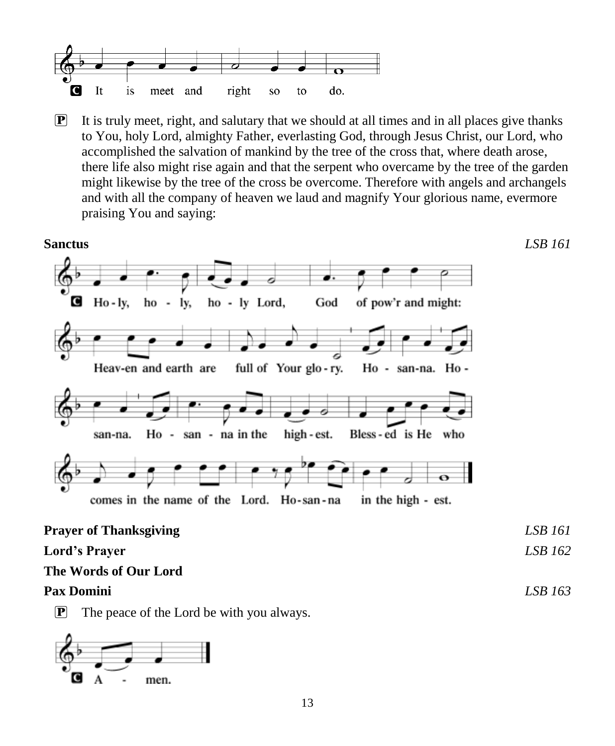

 $\mathbf{P}$  It is truly meet, right, and salutary that we should at all times and in all places give thanks to You, holy Lord, almighty Father, everlasting God, through Jesus Christ, our Lord, who accomplished the salvation of mankind by the tree of the cross that, where death arose, there life also might rise again and that the serpent who overcame by the tree of the garden might likewise by the tree of the cross be overcome. Therefore with angels and archangels and with all the company of heaven we laud and magnify Your glorious name, evermore praising You and saying:



 $\mathbf{P}$  The peace of the Lord be with you always.

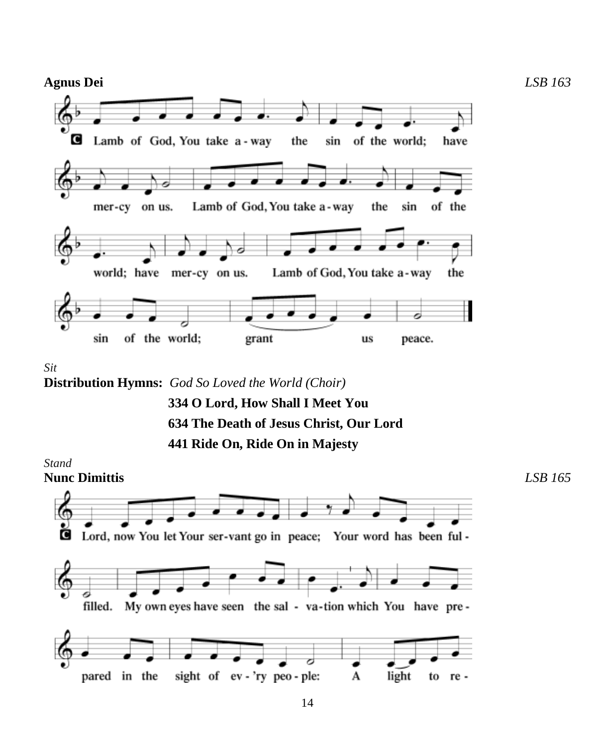

*Sit*

**Distribution Hymns:** *God So Loved the World (Choir)*

 **334 O Lord, How Shall I Meet You 634 The Death of Jesus Christ, Our Lord 441 Ride On, Ride On in Majesty**

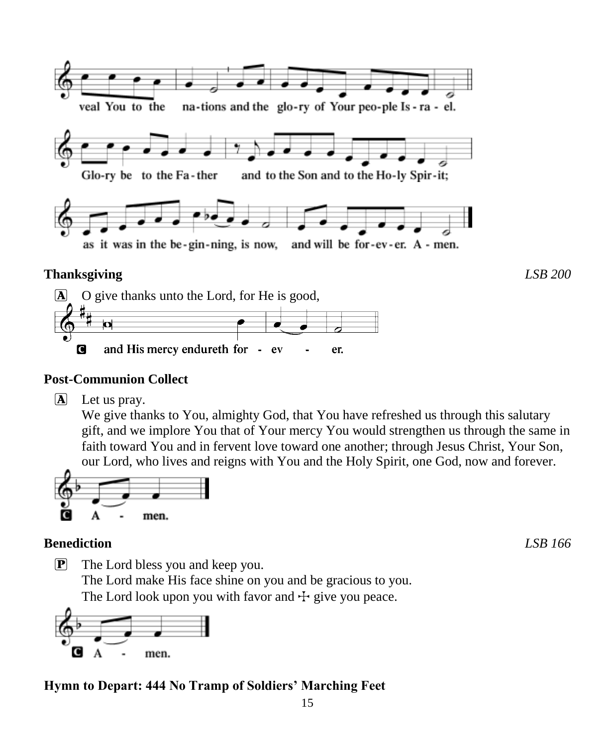



#### **Post-Communion Collect**

 $\overline{A}$  Let us pray.

We give thanks to You, almighty God, that You have refreshed us through this salutary gift, and we implore You that of Your mercy You would strengthen us through the same in faith toward You and in fervent love toward one another; through Jesus Christ, Your Son, our Lord, who lives and reigns with You and the Holy Spirit, one God, now and forever.



#### **Benediction** *LSB 166*

P The Lord bless you and keep you. The Lord make His face shine on you and be gracious to you. The Lord look upon you with favor and  $\pm$  give you peace.



### **Hymn to Depart: 444 No Tramp of Soldiers' Marching Feet**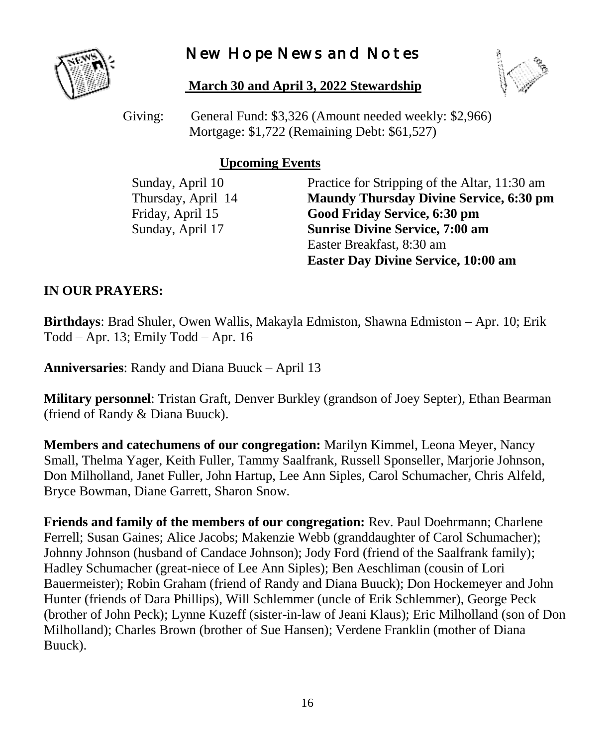# New Hope News and Notes



#### **March 30 and April 3, 2022 Stewardship**



Giving: General Fund: \$3,326 (Amount needed weekly: \$2,966) Mortgage: \$1,722 (Remaining Debt: \$61,527)

#### **Upcoming Events**

Sunday, April 10 Practice for Stripping of the Altar, 11:30 am Thursday, April 14 **Maundy Thursday Divine Service, 6:30 pm** Friday, April 15 **Good Friday Service, 6:30 pm** Sunday, April 17 **Sunrise Divine Service, 7:00 am** Easter Breakfast, 8:30 am **Easter Day Divine Service, 10:00 am**

#### **IN OUR PRAYERS:**

**Birthdays**: Brad Shuler, Owen Wallis, Makayla Edmiston, Shawna Edmiston – Apr. 10; Erik Todd – Apr. 13; Emily Todd – Apr. 16

**Anniversaries**: Randy and Diana Buuck – April 13

**Military personnel**: Tristan Graft, Denver Burkley (grandson of Joey Septer), Ethan Bearman (friend of Randy & Diana Buuck).

**Members and catechumens of our congregation:** Marilyn Kimmel, Leona Meyer, Nancy Small, Thelma Yager, Keith Fuller, Tammy Saalfrank, Russell Sponseller, Marjorie Johnson, Don Milholland, Janet Fuller, John Hartup, Lee Ann Siples, Carol Schumacher, Chris Alfeld, Bryce Bowman, Diane Garrett, Sharon Snow.

**Friends and family of the members of our congregation:** Rev. Paul Doehrmann; Charlene Ferrell; Susan Gaines; Alice Jacobs; Makenzie Webb (granddaughter of Carol Schumacher); Johnny Johnson (husband of Candace Johnson); Jody Ford (friend of the Saalfrank family); Hadley Schumacher (great-niece of Lee Ann Siples); Ben Aeschliman (cousin of Lori Bauermeister); Robin Graham (friend of Randy and Diana Buuck); Don Hockemeyer and John Hunter (friends of Dara Phillips), Will Schlemmer (uncle of Erik Schlemmer), George Peck (brother of John Peck); Lynne Kuzeff (sister-in-law of Jeani Klaus); Eric Milholland (son of Don Milholland); Charles Brown (brother of Sue Hansen); Verdene Franklin (mother of Diana Buuck).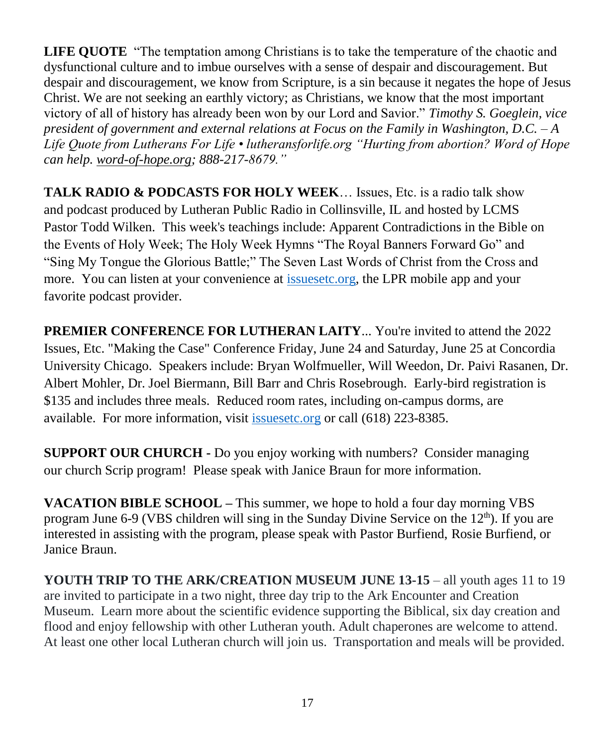**LIFE QUOTE** "The temptation among Christians is to take the temperature of the chaotic and dysfunctional culture and to imbue ourselves with a sense of despair and discouragement. But despair and discouragement, we know from Scripture, is a sin because it negates the hope of Jesus Christ. We are not seeking an earthly victory; as Christians, we know that the most important victory of all of history has already been won by our Lord and Savior." *Timothy S. Goeglein, vice president of government and external relations at Focus on the Family in Washington, D.C. – A Life Quote from Lutherans For Life • lutheransforlife.org "Hurting from abortion? Word of Hope can help. [word-of-hope.org;](https://word-of-hope.org/) 888-217-8679."*

**TALK RADIO & PODCASTS FOR HOLY WEEK**… Issues, Etc. is a radio talk show and podcast produced by Lutheran Public Radio in Collinsville, IL and hosted by LCMS Pastor Todd Wilken. This week's teachings include: Apparent Contradictions in the Bible on the Events of Holy Week; The Holy Week Hymns "The Royal Banners Forward Go" and "Sing My Tongue the Glorious Battle;" The Seven Last Words of Christ from the Cross and more. You can listen at your convenience at [issuesetc.org,](https://r20.rs6.net/tn.jsp?f=001DtweFQMTJcmM3_FIZrCeMFfoxqyJf6EG9ywlb04PQkiZrCv2K7eSBTr99HFqwUXH4j8lXa8iW1dVcquEwuSt78brdcnub4nGS0Dgyu7K9t3s9pDBca8SMFQ7JOudm5whMHFW9KfnV1YCiSVvm33CGA==&c=UlX4M_zBT3sfNXNUeVVisiQNQbHYuH5cNnwoLmLPOcuZLIUMNcg3Dg==&ch=-RnLfgMqobVDqb4goJbRRmBTKi-4RWdqpafUTPrkgzwc3O88d-_tOw==) the LPR mobile app and your favorite podcast provider.

**PREMIER CONFERENCE FOR LUTHERAN LAITY...** You're invited to attend the 2022 Issues, Etc. "Making the Case" Conference Friday, June 24 and Saturday, June 25 at Concordia University Chicago. Speakers include: Bryan Wolfmueller, Will Weedon, Dr. Paivi Rasanen, Dr. Albert Mohler, Dr. Joel Biermann, Bill Barr and Chris Rosebrough. Early-bird registration is \$135 and includes three meals. Reduced room rates, including on-campus dorms, are available. For more information, visit [issuesetc.org](https://r20.rs6.net/tn.jsp?f=001euVFadQYlcqFiWhNUjuBbHDmQt8zr5LGpqJOcLv4QfFxYfmz4IzpW9kQiozbqP7syCQO2oCzsyztEbkKm8bVvaaPXiIjldQ_yas1ukD2ts2H0PQi4aQvfhXbzpttXfxWoUQb2-KbSC90tXVYSQxNjQ==&c=LRpREN2vtUelZtY1CHzz_oytM671LfaiHMh8a0E8a2H4Lst8uHALhQ==&ch=ez5PS-pzAEDlkyvIKHLvGSu-gTy7UOzK6LklBsmfJD5SWaW-5-8Yfg==) or call (618) 223-8385.

**SUPPORT OUR CHURCH -** Do you enjoy working with numbers? Consider managing our church Scrip program! Please speak with Janice Braun for more information.

**VACATION BIBLE SCHOOL –** This summer, we hope to hold a four day morning VBS program June 6-9 (VBS children will sing in the Sunday Divine Service on the  $12<sup>th</sup>$ ). If you are interested in assisting with the program, please speak with Pastor Burfiend, Rosie Burfiend, or Janice Braun.

**YOUTH TRIP TO THE ARK/CREATION MUSEUM JUNE 13-15** – all youth ages 11 to 19 are invited to participate in a two night, three day trip to the Ark Encounter and Creation Museum. Learn more about the scientific evidence supporting the Biblical, six day creation and flood and enjoy fellowship with other Lutheran youth. Adult chaperones are welcome to attend. At least one other local Lutheran church will join us. Transportation and meals will be provided.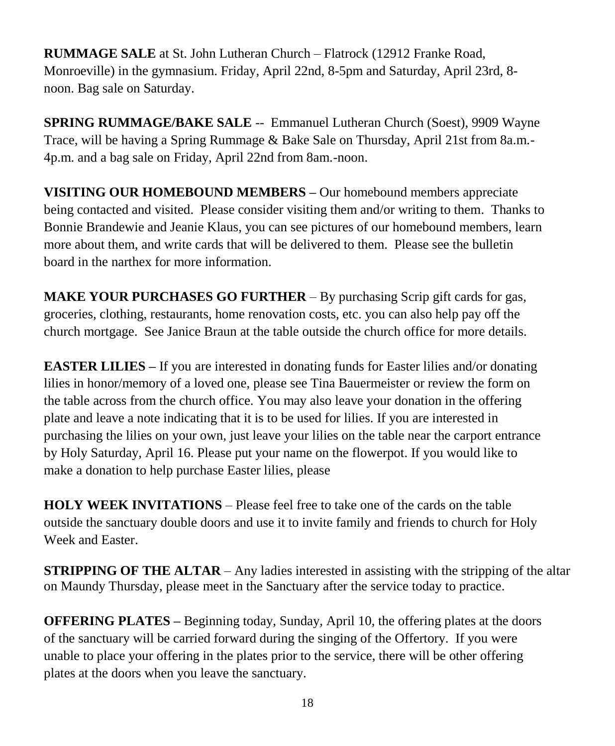**RUMMAGE SALE** at St. John Lutheran Church – Flatrock (12912 Franke Road, Monroeville) in the gymnasium. Friday, April 22nd, 8-5pm and Saturday, April 23rd, 8 noon. Bag sale on Saturday.

**SPRING RUMMAGE/BAKE SALE** -- Emmanuel Lutheran Church (Soest), 9909 Wayne Trace, will be having a Spring Rummage & Bake Sale on Thursday, April 21st from 8a.m.- 4p.m. and a bag sale on Friday, April 22nd from 8am.-noon.

**VISITING OUR HOMEBOUND MEMBERS –** Our homebound members appreciate being contacted and visited. Please consider visiting them and/or writing to them. Thanks to Bonnie Brandewie and Jeanie Klaus, you can see pictures of our homebound members, learn more about them, and write cards that will be delivered to them. Please see the bulletin board in the narthex for more information.

**MAKE YOUR PURCHASES GO FURTHER** – By purchasing Scrip gift cards for gas, groceries, clothing, restaurants, home renovation costs, etc. you can also help pay off the church mortgage. See Janice Braun at the table outside the church office for more details.

**EASTER LILIES** – If you are interested in donating funds for Easter lilies and/or donating lilies in honor/memory of a loved one, please see Tina Bauermeister or review the form on the table across from the church office. You may also leave your donation in the offering plate and leave a note indicating that it is to be used for lilies. If you are interested in purchasing the lilies on your own, just leave your lilies on the table near the carport entrance by Holy Saturday, April 16. Please put your name on the flowerpot. If you would like to make a donation to help purchase Easter lilies, please

**HOLY WEEK INVITATIONS** – Please feel free to take one of the cards on the table outside the sanctuary double doors and use it to invite family and friends to church for Holy Week and Easter.

**STRIPPING OF THE ALTAR** – Any ladies interested in assisting with the stripping of the altar on Maundy Thursday, please meet in the Sanctuary after the service today to practice.

**OFFERING PLATES –** Beginning today, Sunday, April 10, the offering plates at the doors of the sanctuary will be carried forward during the singing of the Offertory. If you were unable to place your offering in the plates prior to the service, there will be other offering plates at the doors when you leave the sanctuary.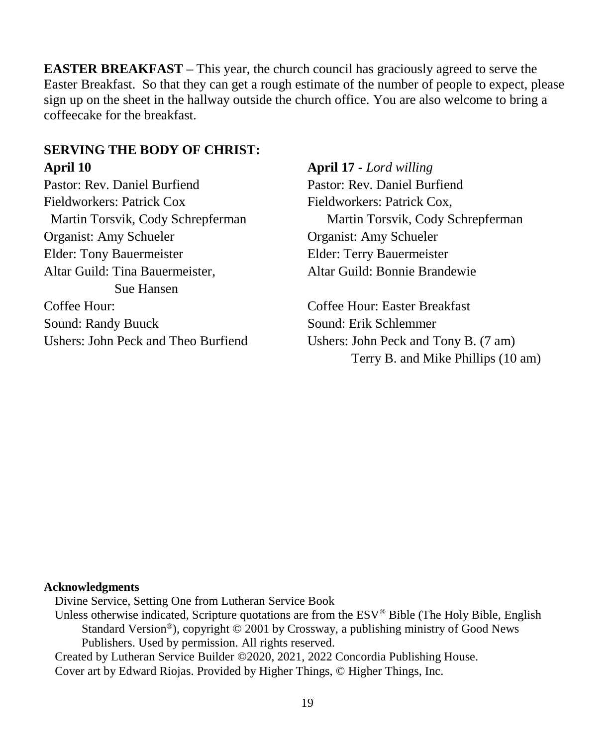**EASTER BREAKFAST –** This year, the church council has graciously agreed to serve the Easter Breakfast. So that they can get a rough estimate of the number of people to expect, please sign up on the sheet in the hallway outside the church office. You are also welcome to bring a coffeecake for the breakfast.

#### **SERVING THE BODY OF CHRIST: April 10 April 17 -** *Lord willing*

Pastor: Rev. Daniel Burfiend Pastor: Rev. Daniel Burfiend Fieldworkers: Patrick Cox Fieldworkers: Patrick Cox, Organist: Amy Schueler Organist: Amy Schueler Elder: Tony Bauermeister Elder: Terry Bauermeister Altar Guild: Tina Bauermeister, Altar Guild: Bonnie Brandewie Sue Hansen Coffee Hour: Coffee Hour: Easter Breakfast Sound: Randy Buuck Sound: Erik Schlemmer

Martin Torsvik, Cody Schrepferman Martin Torsvik, Cody Schrepferman

Ushers: John Peck and Theo Burfiend Ushers: John Peck and Tony B. (7 am) Terry B. and Mike Phillips (10 am)

#### **Acknowledgments**

Divine Service, Setting One from Lutheran Service Book

Unless otherwise indicated, Scripture quotations are from the ESV® Bible (The Holy Bible, English Standard Version®), copyright © 2001 by Crossway, a publishing ministry of Good News Publishers. Used by permission. All rights reserved.

Created by Lutheran Service Builder ©2020, 2021, 2022 Concordia Publishing House. Cover art by Edward Riojas. Provided by Higher Things, © Higher Things, Inc.